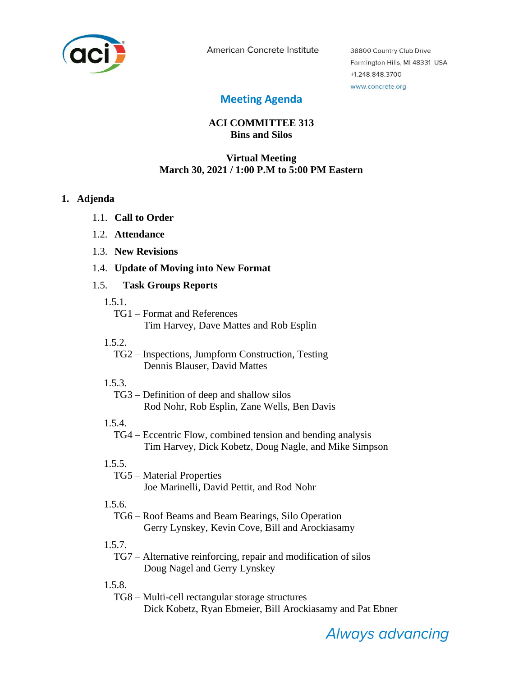

American Concrete Institute

38800 Country Club Drive Farmington Hills, MI 48331 USA +1.248.848.3700 www.concrete.org

# **Meeting Agenda**

# **ACI COMMITTEE 313 Bins and Silos**

### **Virtual Meeting March 30, 2021 / 1:00 P.M to 5:00 PM Eastern**

#### **1. Adjenda**

- 1.1. **Call to Order**
- 1.2. **Attendance**
- 1.3. **New Revisions**
- 1.4. **Update of Moving into New Format**

#### 1.5. **Task Groups Reports**

- 1.5.1.
	- TG1 Format and References Tim Harvey, Dave Mattes and Rob Esplin
- 1.5.2.
	- TG2 Inspections, Jumpform Construction, Testing Dennis Blauser, David Mattes
- 1.5.3.

TG3 – Definition of deep and shallow silos Rod Nohr, Rob Esplin, Zane Wells, Ben Davis

1.5.4.

TG4 – Eccentric Flow, combined tension and bending analysis Tim Harvey, Dick Kobetz, Doug Nagle, and Mike Simpson

# 1.5.5.

TG5 – Material Properties Joe Marinelli, David Pettit, and Rod Nohr

# 1.5.6.

TG6 – Roof Beams and Beam Bearings, Silo Operation Gerry Lynskey, Kevin Cove, Bill and Arockiasamy

1.5.7.

TG7 – Alternative reinforcing, repair and modification of silos Doug Nagel and Gerry Lynskey

1.5.8.

TG8 – Multi-cell rectangular storage structures Dick Kobetz, Ryan Ebmeier, Bill Arockiasamy and Pat Ebner